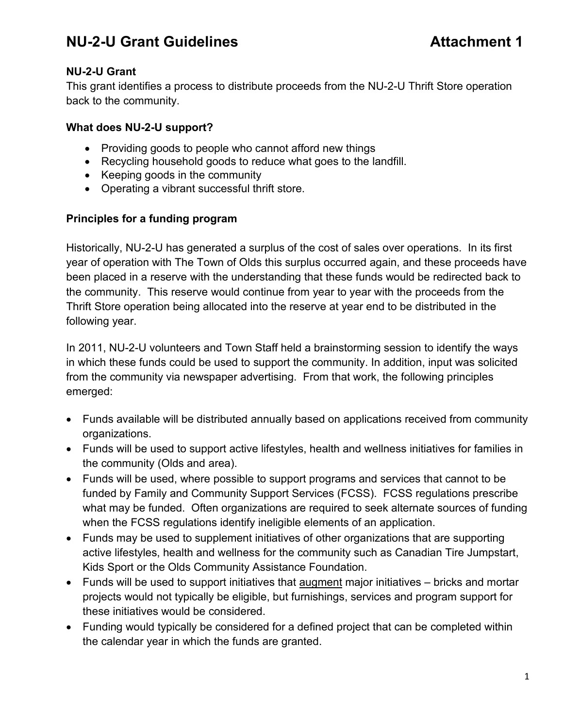### **NU-2-U Grant**

This grant identifies a process to distribute proceeds from the NU-2-U Thrift Store operation back to the community.

### **What does NU-2-U support?**

- Providing goods to people who cannot afford new things
- Recycling household goods to reduce what goes to the landfill.
- Keeping goods in the community
- Operating a vibrant successful thrift store.

### **Principles for a funding program**

Historically, NU-2-U has generated a surplus of the cost of sales over operations. In its first year of operation with The Town of Olds this surplus occurred again, and these proceeds have been placed in a reserve with the understanding that these funds would be redirected back to the community. This reserve would continue from year to year with the proceeds from the Thrift Store operation being allocated into the reserve at year end to be distributed in the following year.

In 2011, NU-2-U volunteers and Town Staff held a brainstorming session to identify the ways in which these funds could be used to support the community. In addition, input was solicited from the community via newspaper advertising. From that work, the following principles emerged:

- Funds available will be distributed annually based on applications received from community organizations.
- Funds will be used to support active lifestyles, health and wellness initiatives for families in the community (Olds and area).
- Funds will be used, where possible to support programs and services that cannot to be funded by Family and Community Support Services (FCSS). FCSS regulations prescribe what may be funded. Often organizations are required to seek alternate sources of funding when the FCSS regulations identify ineligible elements of an application.
- Funds may be used to supplement initiatives of other organizations that are supporting active lifestyles, health and wellness for the community such as Canadian Tire Jumpstart, Kids Sport or the Olds Community Assistance Foundation.
- Funds will be used to support initiatives that augment major initiatives bricks and mortar projects would not typically be eligible, but furnishings, services and program support for these initiatives would be considered.
- Funding would typically be considered for a defined project that can be completed within the calendar year in which the funds are granted.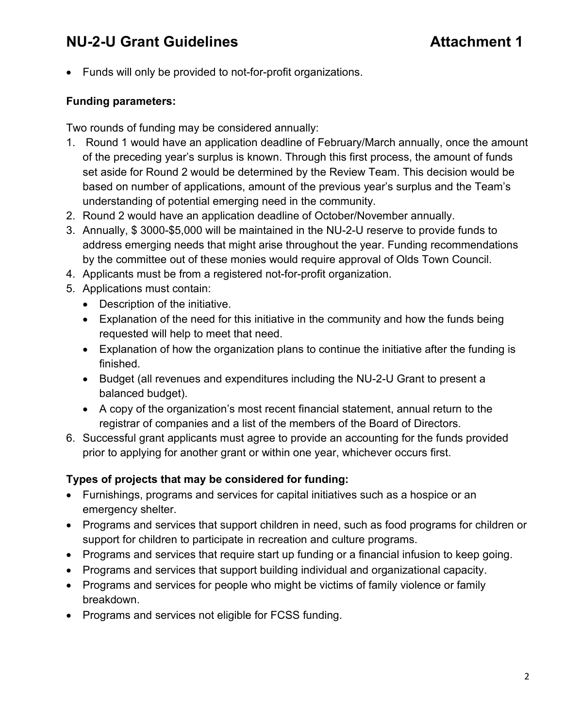• Funds will only be provided to not-for-profit organizations.

### **Funding parameters:**

Two rounds of funding may be considered annually:

- 1. Round 1 would have an application deadline of February/March annually, once the amount of the preceding year's surplus is known. Through this first process, the amount of funds set aside for Round 2 would be determined by the Review Team. This decision would be based on number of applications, amount of the previous year's surplus and the Team's understanding of potential emerging need in the community.
- 2. Round 2 would have an application deadline of October/November annually.
- 3. Annually, \$ 3000-\$5,000 will be maintained in the NU-2-U reserve to provide funds to address emerging needs that might arise throughout the year. Funding recommendations by the committee out of these monies would require approval of Olds Town Council.
- 4. Applicants must be from a registered not-for-profit organization.
- 5. Applications must contain:
	- Description of the initiative.
	- Explanation of the need for this initiative in the community and how the funds being requested will help to meet that need.
	- Explanation of how the organization plans to continue the initiative after the funding is finished.
	- Budget (all revenues and expenditures including the NU-2-U Grant to present a balanced budget).
	- A copy of the organization's most recent financial statement, annual return to the registrar of companies and a list of the members of the Board of Directors.
- 6. Successful grant applicants must agree to provide an accounting for the funds provided prior to applying for another grant or within one year, whichever occurs first.

### **Types of projects that may be considered for funding:**

- Furnishings, programs and services for capital initiatives such as a hospice or an emergency shelter.
- Programs and services that support children in need, such as food programs for children or support for children to participate in recreation and culture programs.
- Programs and services that require start up funding or a financial infusion to keep going.
- Programs and services that support building individual and organizational capacity.
- Programs and services for people who might be victims of family violence or family breakdown.
- Programs and services not eligible for FCSS funding.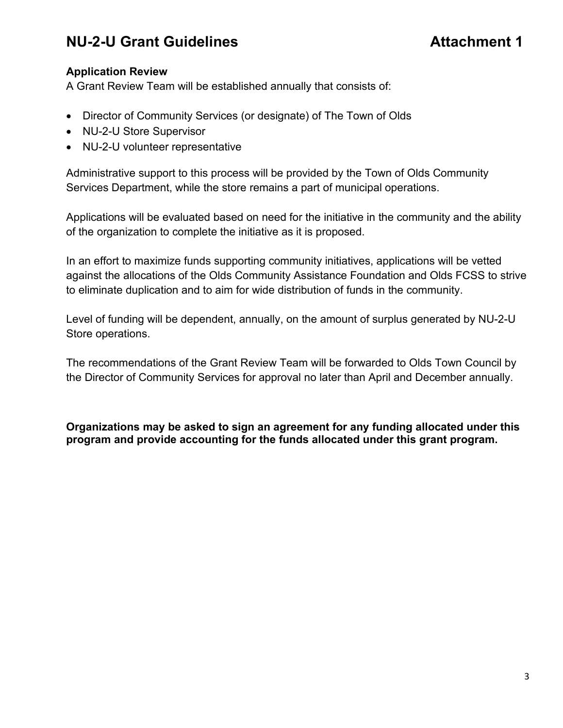### **Application Review**

A Grant Review Team will be established annually that consists of:

- Director of Community Services (or designate) of The Town of Olds
- NU-2-U Store Supervisor
- NU-2-U volunteer representative

Administrative support to this process will be provided by the Town of Olds Community Services Department, while the store remains a part of municipal operations.

Applications will be evaluated based on need for the initiative in the community and the ability of the organization to complete the initiative as it is proposed.

In an effort to maximize funds supporting community initiatives, applications will be vetted against the allocations of the Olds Community Assistance Foundation and Olds FCSS to strive to eliminate duplication and to aim for wide distribution of funds in the community.

Level of funding will be dependent, annually, on the amount of surplus generated by NU-2-U Store operations.

The recommendations of the Grant Review Team will be forwarded to Olds Town Council by the Director of Community Services for approval no later than April and December annually.

**Organizations may be asked to sign an agreement for any funding allocated under this program and provide accounting for the funds allocated under this grant program.**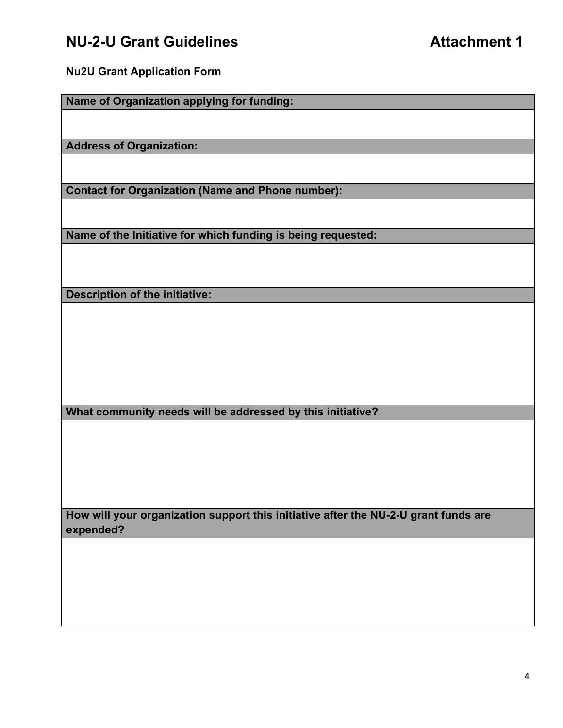**Nu2U Grant Application Form**

**Name of Organization applying for funding:**

**Address of Organization:**

**Contact for Organization (Name and Phone number):**

**Name of the Initiative for which funding is being requested:**

**Description of the initiative:**

**What community needs will be addressed by this initiative?**

**How will your organization support this initiative after the NU-2-U grant funds are expended?**